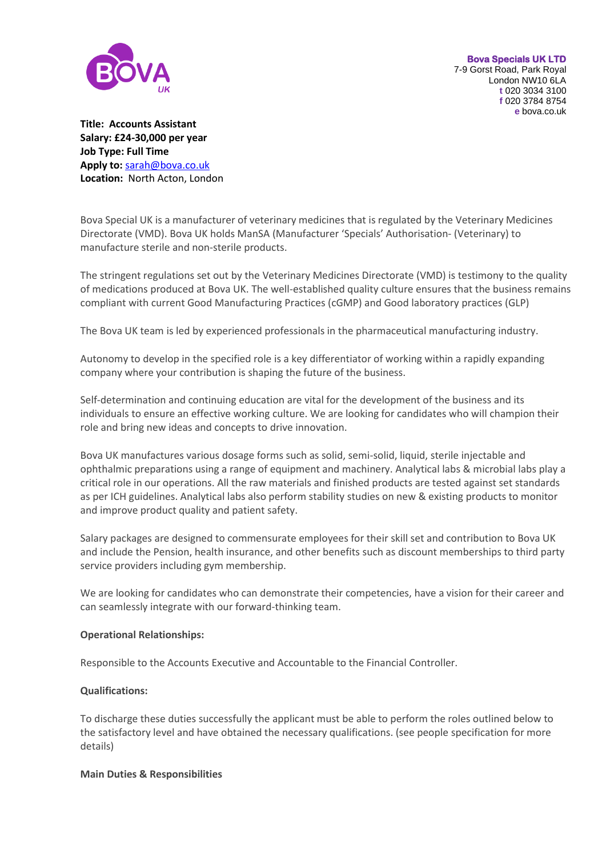

**Bova Specials UK LTD**  7-9 Gorst Road, Park Royal London NW10 6LA **t** 020 3034 3100 **f** 020 3784 8754 **e** bova.co.uk

**Title: Accounts Assistant Salary: £24-30,000 per year Job Type: Full Time Apply to:** [sarah@bova.co.uk](mailto:sarah@bova.co.uk) **Location:** North Acton, London

Bova Special UK is a manufacturer of veterinary medicines that is regulated by the Veterinary Medicines Directorate (VMD). Bova UK holds ManSA (Manufacturer 'Specials' Authorisation- (Veterinary) to manufacture sterile and non-sterile products.

The stringent regulations set out by the Veterinary Medicines Directorate (VMD) is testimony to the quality of medications produced at Bova UK. The well-established quality culture ensures that the business remains compliant with current Good Manufacturing Practices (cGMP) and Good laboratory practices (GLP)

The Bova UK team is led by experienced professionals in the pharmaceutical manufacturing industry.

Autonomy to develop in the specified role is a key differentiator of working within a rapidly expanding company where your contribution is shaping the future of the business.

Self-determination and continuing education are vital for the development of the business and its individuals to ensure an effective working culture. We are looking for candidates who will champion their role and bring new ideas and concepts to drive innovation.

Bova UK manufactures various dosage forms such as solid, semi-solid, liquid, sterile injectable and ophthalmic preparations using a range of equipment and machinery. Analytical labs & microbial labs play a critical role in our operations. All the raw materials and finished products are tested against set standards as per ICH guidelines. Analytical labs also perform stability studies on new & existing products to monitor and improve product quality and patient safety.

Salary packages are designed to commensurate employees for their skill set and contribution to Bova UK and include the Pension, health insurance, and other benefits such as discount memberships to third party service providers including gym membership.

We are looking for candidates who can demonstrate their competencies, have a vision for their career and can seamlessly integrate with our forward-thinking team.

## **Operational Relationships:**

Responsible to the Accounts Executive and Accountable to the Financial Controller.

## **Qualifications:**

To discharge these duties successfully the applicant must be able to perform the roles outlined below to the satisfactory level and have obtained the necessary qualifications. (see people specification for more details)

## **Main Duties & Responsibilities**